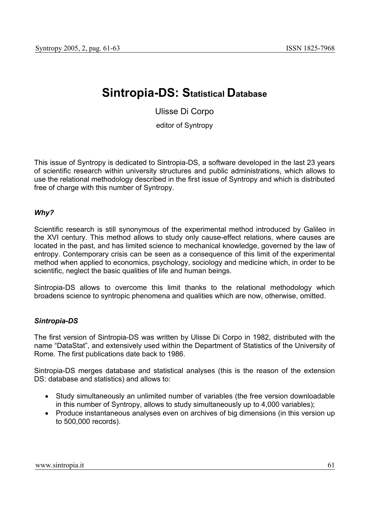## **Sintropia-DS: Statistical Database**

Ulisse Di Corpo

editor of Syntropy

This issue of Syntropy is dedicated to Sintropia-DS, a software developed in the last 23 years of scientific research within university structures and public administrations, which allows to use the relational methodology described in the first issue of Syntropy and which is distributed free of charge with this number of Syntropy.

## *Why?*

Scientific research is still synonymous of the experimental method introduced by Galileo in the XVI century. This method allows to study only cause-effect relations, where causes are located in the past, and has limited science to mechanical knowledge, governed by the law of entropy. Contemporary crisis can be seen as a consequence of this limit of the experimental method when applied to economics, psychology, sociology and medicine which, in order to be scientific, neglect the basic qualities of life and human beings.

Sintropia-DS allows to overcome this limit thanks to the relational methodology which broadens science to syntropic phenomena and qualities which are now, otherwise, omitted.

## *Sintropia-DS*

The first version of Sintropia-DS was written by Ulisse Di Corpo in 1982, distributed with the name "DataStat", and extensively used within the Department of Statistics of the University of Rome. The first publications date back to 1986.

Sintropia-DS merges database and statistical analyses (this is the reason of the extension DS: database and statistics) and allows to:

- Study simultaneously an unlimited number of variables (the free version downloadable in this number of Syntropy, allows to study simultaneously up to 4,000 variables);
- Produce instantaneous analyses even on archives of big dimensions (in this version up to 500,000 records).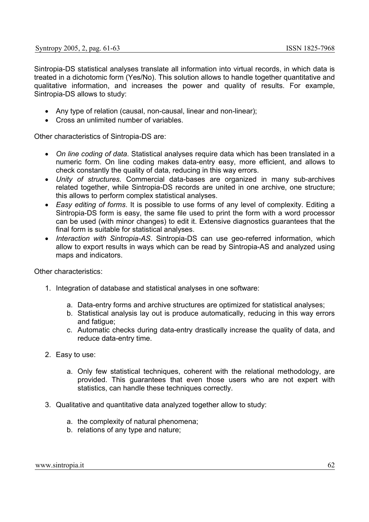Sintropia-DS statistical analyses translate all information into virtual records, in which data is treated in a dichotomic form (Yes/No). This solution allows to handle together quantitative and qualitative information, and increases the power and quality of results. For example, Sintropia-DS allows to study:

- Any type of relation (causal, non-causal, linear and non-linear);
- Cross an unlimited number of variables.

Other characteristics of Sintropia-DS are:

- *On line coding of data*. Statistical analyses require data which has been translated in a numeric form. On line coding makes data-entry easy, more efficient, and allows to check constantly the quality of data, reducing in this way errors.
- *Unity of structures*. Commercial data-bases are organized in many sub-archives related together, while Sintropia-DS records are united in one archive, one structure; this allows to perform complex statistical analyses.
- *Easy editing of forms*. It is possible to use forms of any level of complexity. Editing a Sintropia-DS form is easy, the same file used to print the form with a word processor can be used (with minor changes) to edit it. Extensive diagnostics guarantees that the final form is suitable for statistical analyses.
- *Interaction with Sintropia-AS*. Sintropia-DS can use geo-referred information, which allow to export results in ways which can be read by Sintropia-AS and analyzed using maps and indicators.

Other characteristics:

- 1. Integration of database and statistical analyses in one software:
	- a. Data-entry forms and archive structures are optimized for statistical analyses;
	- b. Statistical analysis lay out is produce automatically, reducing in this way errors and fatigue;
	- c. Automatic checks during data-entry drastically increase the quality of data, and reduce data-entry time.
- 2. Easy to use:
	- a. Only few statistical techniques, coherent with the relational methodology, are provided. This guarantees that even those users who are not expert with statistics, can handle these techniques correctly.
- 3. Qualitative and quantitative data analyzed together allow to study:
	- a. the complexity of natural phenomena;
	- b. relations of any type and nature;